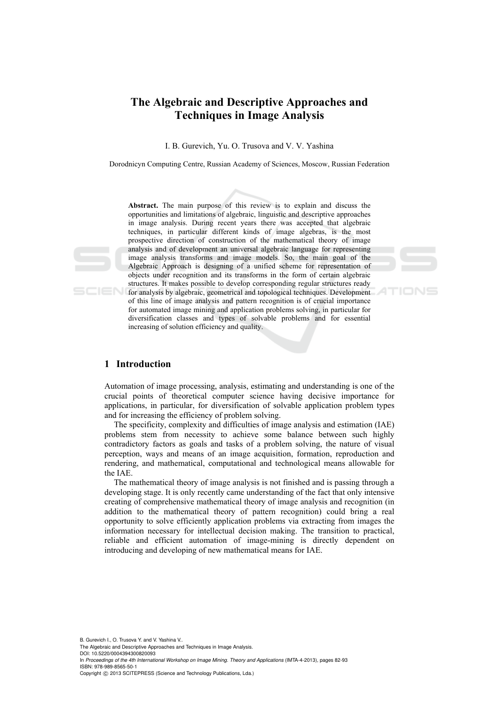# **The Algebraic and Descriptive Approaches and Techniques in Image Analysis**

I. B. Gurevich, Yu. O. Trusova and V. V. Yashina

Dorodnicyn Computing Centre, Russian Academy of Sciences, Moscow, Russian Federation

**Abstract.** The main purpose of this review is to explain and discuss the opportunities and limitations of algebraic, linguistic and descriptive approaches in image analysis. During recent years there was accepted that algebraic techniques, in particular different kinds of image algebras, is the most prospective direction of construction of the mathematical theory of image analysis and of development an universal algebraic language for representing image analysis transforms and image models. So, the main goal of the Algebraic Approach is designing of a unified scheme for representation of objects under recognition and its transforms in the form of certain algebraic structures. It makes possible to develop corresponding regular structures ready for analysis by algebraic, geometrical and topological techniques. Development of this line of image analysis and pattern recognition is of crucial importance for automated image mining and application problems solving, in particular for diversification classes and types of solvable problems and for essential increasing of solution efficiency and quality.

#### **1 Introduction**

Automation of image processing, analysis, estimating and understanding is one of the crucial points of theoretical computer science having decisive importance for applications, in particular, for diversification of solvable application problem types and for increasing the efficiency of problem solving.

The specificity, complexity and difficulties of image analysis and estimation (IAE) problems stem from necessity to achieve some balance between such highly contradictory factors as goals and tasks of a problem solving, the nature of visual perception, ways and means of an image acquisition, formation, reproduction and rendering, and mathematical, computational and technological means allowable for the IAE.

The mathematical theory of image analysis is not finished and is passing through a developing stage. It is only recently came understanding of the fact that only intensive creating of comprehensive mathematical theory of image analysis and recognition (in addition to the mathematical theory of pattern recognition) could bring a real opportunity to solve efficiently application problems via extracting from images the information necessary for intellectual decision making. The transition to practical, reliable and efficient automation of image-mining is directly dependent on introducing and developing of new mathematical means for IAE.

B. Gurevich I., O. Trusova Y. and V. Yashina V..

The Algebraic and Descriptive Approaches and Techniques in Image Analysis. DOI: 10.5220/0004394300820093

In *Proceedings of the 4th International Workshop on Image Mining. Theory and Applications* (IMTA-4-2013), pages 82-93 ISBN: 978-989-8565-50-1

Copyright © 2013 SCITEPRESS (Science and Technology Publications, Lda.)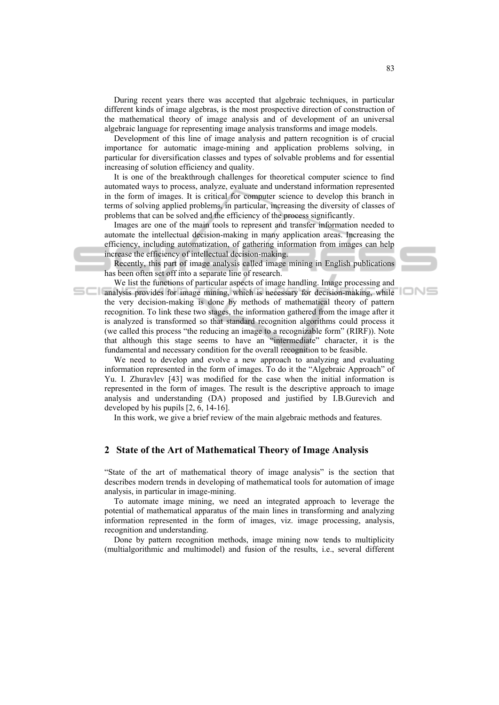During recent years there was accepted that algebraic techniques, in particular different kinds of image algebras, is the most prospective direction of construction of the mathematical theory of image analysis and of development of an universal algebraic language for representing image analysis transforms and image models.

Development of this line of image analysis and pattern recognition is of crucial importance for automatic image-mining and application problems solving, in particular for diversification classes and types of solvable problems and for essential increasing of solution efficiency and quality.

It is one of the breakthrough challenges for theoretical computer science to find automated ways to process, analyze, evaluate and understand information represented in the form of images. It is critical for computer science to develop this branch in terms of solving applied problems, in particular, increasing the diversity of classes of problems that can be solved and the efficiency of the process significantly.

Images are one of the main tools to represent and transfer information needed to automate the intellectual decision-making in many application areas. Increasing the efficiency, including automatization, of gathering information from images can help increase the efficiency of intellectual decision-making.

Recently, this part of image analysis called image mining in English publications has been often set off into a separate line of research.

We list the functions of particular aspects of image handling. Image processing and **analysis provides for image mining, which is necessary for decision-making, while** the very decision-making is done by methods of mathematical theory of pattern recognition. To link these two stages, the information gathered from the image after it is analyzed is transformed so that standard recognition algorithms could process it (we called this process "the reducing an image to a recognizable form" (RIRF)). Note that although this stage seems to have an "intermediate" character, it is the fundamental and necessary condition for the overall recognition to be feasible.

We need to develop and evolve a new approach to analyzing and evaluating information represented in the form of images. To do it the "Algebraic Approach" of Yu. I. Zhuravlev [43] was modified for the case when the initial information is represented in the form of images. The result is the descriptive approach to image analysis and understanding (DA) proposed and justified by I.B.Gurevich and developed by his pupils [2, 6, 14-16].

In this work, we give a brief review of the main algebraic methods and features.

# **2 State of the Art of Mathematical Theory of Image Analysis**

"State of the art of mathematical theory of image analysis" is the section that describes modern trends in developing of mathematical tools for automation of image analysis, in particular in image-mining.

To automate image mining, we need an integrated approach to leverage the potential of mathematical apparatus of the main lines in transforming and analyzing information represented in the form of images, viz. image processing, analysis, recognition and understanding.

Done by pattern recognition methods, image mining now tends to multiplicity (multialgorithmic and multimodel) and fusion of the results, i.e., several different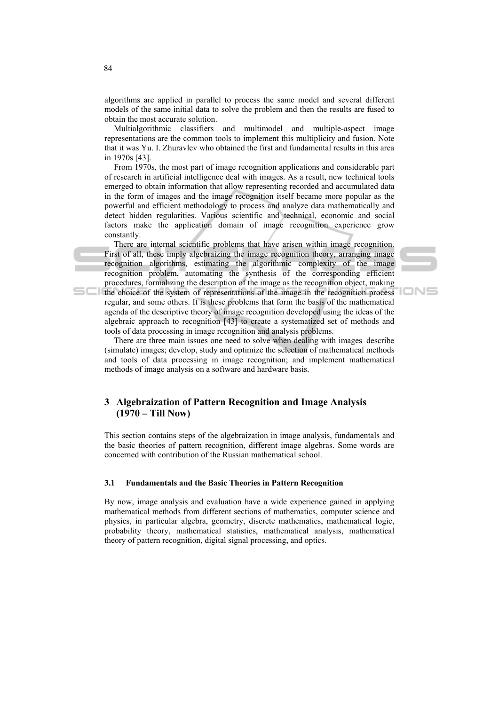algorithms are applied in parallel to process the same model and several different models of the same initial data to solve the problem and then the results are fused to obtain the most accurate solution.

Multialgorithmic classifiers and multimodel and multiple-aspect image representations are the common tools to implement this multiplicity and fusion. Note that it was Yu. I. Zhuravlev who obtained the first and fundamental results in this area in 1970s [43].

From 1970s, the most part of image recognition applications and considerable part of research in artificial intelligence deal with images. As a result, new technical tools emerged to obtain information that allow representing recorded and accumulated data in the form of images and the image recognition itself became more popular as the powerful and efficient methodology to process and analyze data mathematically and detect hidden regularities. Various scientific and technical, economic and social factors make the application domain of image recognition experience grow constantly.

There are internal scientific problems that have arisen within image recognition. First of all, these imply algebraizing the image recognition theory, arranging image recognition algorithms, estimating the algorithmic complexity of the image recognition problem, automating the synthesis of the corresponding efficient procedures, formalizing the description of the image as the recognition object, making the choice of the system of representations of the image in the recognition process regular, and some others. It is these problems that form the basis of the mathematical agenda of the descriptive theory of image recognition developed using the ideas of the



There are three main issues one need to solve when dealing with images–describe (simulate) images; develop, study and optimize the selection of mathematical methods and tools of data processing in image recognition; and implement mathematical methods of image analysis on a software and hardware basis.

algebraic approach to recognition [43] to create a systematized set of methods and

# **3 Algebraization of Pattern Recognition and Image Analysis (1970 – Till Now)**

tools of data processing in image recognition and analysis problems.

This section contains steps of the algebraization in image analysis, fundamentals and the basic theories of pattern recognition, different image algebras. Some words are concerned with contribution of the Russian mathematical school.

#### **3.1 Fundamentals and the Basic Theories in Pattern Recognition**

By now, image analysis and evaluation have a wide experience gained in applying mathematical methods from different sections of mathematics, computer science and physics, in particular algebra, geometry, discrete mathematics, mathematical logic, probability theory, mathematical statistics, mathematical analysis, mathematical theory of pattern recognition, digital signal processing, and optics.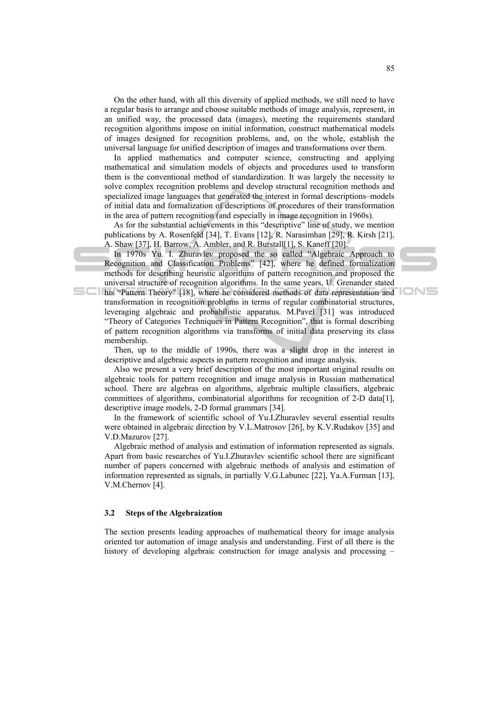On the other hand, with all this diversity of applied methods, we still need to have a regular basis to arrange and choose suitable methods of image analysis, represent, in an unified way, the processed data (images), meeting the requirements standard recognition algorithms impose on initial information, construct mathematical models of images designed for recognition problems, and, on the whole, establish the universal language for unified description of images and transformations over them.

In applied mathematics and computer science, constructing and applying mathematical and simulation models of objects and procedures used to transform them is the conventional method of standardization. It was largely the necessity to solve complex recognition problems and develop structural recognition methods and specialized image languages that generated the interest in formal descriptions–models of initial data and formalization of descriptions of procedures of their transformation in the area of pattern recognition (and especially in image recognition in 1960s).

As for the substantial achievements in this "descriptive" line of study, we mention publications by A. Rosenfeld [34], T. Evans [12], R. Narasimhan [29], R. Kirsh [21], A. Shaw [37], H. Barrow, A. Ambler, and R. Burstall[1], S. Kaneff [20].

In 1970s Yu. I. Zhuravlev proposed the so called "Algebraic Approach to Recognition and Classification Problems" [42], where he defined formalization methods for describing heuristic algorithms of pattern recognition and proposed the universal structure of recognition algorithms. In the same years, U. Grenander stated his "Pattern Theory" [18], where he considered methods of data representation and transformation in recognition problems in terms of regular combinatorial structures, leveraging algebraic and probabilistic apparatus. M.Pavel [31] was introduced "Theory of Categories Techniques in Pattern Recognition", that is formal describing of pattern recognition algorithms via transforms of initial data preserving its class

Then, up to the middle of 1990s, there was a slight drop in the interest in descriptive and algebraic aspects in pattern recognition and image analysis.

Also we present a very brief description of the most important original results on algebraic tools for pattern recognition and image analysis in Russian mathematical school. There are algebras on algorithms, algebraic multiple classifiers, algebraic committees of algorithms, combinatorial algorithms for recognition of 2-D data[1], descriptive image models, 2-D formal grammars [34].

In the framework of scientific school of Yu.I.Zhuravlev several essential results were obtained in algebraic direction by V.L.Matrosov [26], by K.V.Rudakov [35] and V.D.Mazurov [27].

Algebraic method of analysis and estimation of information represented as signals. Apart from basic researches of Yu.I.Zhuravlev scientific school there are significant number of papers concerned with algebraic methods of analysis and estimation of information represented as signals, in partially V.G.Labunec [22], Ya.A.Furman [13], V.M.Chernov [4].

#### **3.2 Steps of the Algebraization**

membership.

The section presents leading approaches of mathematical theory for image analysis oriented tor automation of image analysis and understanding. First of all there is the history of developing algebraic construction for image analysis and processing –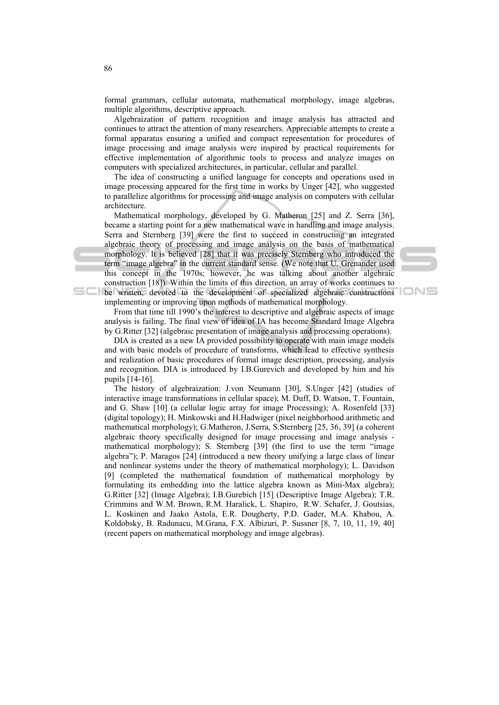formal grammars, cellular automata, mathematical morphology, image algebras, multiple algorithms, descriptive approach.

Algebraization of pattern recognition and image analysis has attracted and continues to attract the attention of many researchers. Appreciable attempts to create a formal apparatus ensuring a unified and compact representation for procedures of image processing and image analysis were inspired by practical requirements for effective implementation of algorithmic tools to process and analyze images on computers with specialized architectures, in particular, cellular and parallel.

The idea of constructing a unified language for concepts and operations used in image processing appeared for the first time in works by Unger [42], who suggested to parallelize algorithms for processing and image analysis on computers with cellular architecture.

Mathematical morphology, developed by G. Matheron [25] and Z. Serra [36], became a starting point for a new mathematical wave in handling and image analysis. Serra and Sternberg [39] were the first to succeed in constructing an integrated algebraic theory of processing and image analysis on the basis of mathematical morphology. It is believed [28] that it was precisely Sternberg who introduced the term "image algebra" in the current standard sense. (We note that U. Grenander used this concept in the 1970s; however, he was talking about another algebraic construction [18]). Within the limits of this direction, an array of works continues to **be written, devoted to the development of specialized algebraic constructions** implementing or improving upon methods of mathematical morphology.

From that time till 1990's the interest to descriptive and algebraic aspects of image analysis is failing. The final view of idea of IA has become Standard Image Algebra by G.Ritter [32] (algebraic presentation of image analysis and processing operations).

DIA is created as a new IA provided possibility to operate with main image models and with basic models of procedure of transforms, which lead to effective synthesis and realization of basic procedures of formal image description, processing, analysis and recognition. DIA is introduced by I.B.Gurevich and developed by him and his pupils [14-16].

The history of algebraization: J.von Neumann [30], S.Unger [42] (studies of interactive image transformations in cellular space); M. Duff, D. Watson, T. Fountain, and G. Shaw [10] (a cellular logic array for image Processing); A. Rosenfeld [33] (digital topology); H. Minkowski and H.Hadwiger (pixel neighborhood arithmetic and mathematical morphology); G.Matheron, J.Serra, S.Sternberg [25, 36, 39] (a coherent algebraic theory specifically designed for image processing and image analysis mathematical morphology); S. Sternberg [39] (the first to use the term "image algebra"); P. Maragos [24] (introduced a new theory unifying a large class of linear and nonlinear systems under the theory of mathematical morphology); L. Davidson [9] (completed the mathematical foundation of mathematical morphology by formulating its embedding into the lattice algebra known as Mini-Max algebra); G.Ritter [32] (Image Algebra); I.B.Gurebich [15] (Descriptive Image Algebra); T.R. Crimmins and W.M. Brown, R.M. Haralick, L. Shapiro, R.W. Schafer, J. Goutsias, L. Koskinen and Jaako Astola, E.R. Dougherty, P.D. Gader, M.A. Khabou, A. Koldobsky, B. Radunacu, M.Grana, F.X. Albizuri, P. Sussner [8, 7, 10, 11, 19, 40] (recent papers on mathematical morphology and image algebras).

86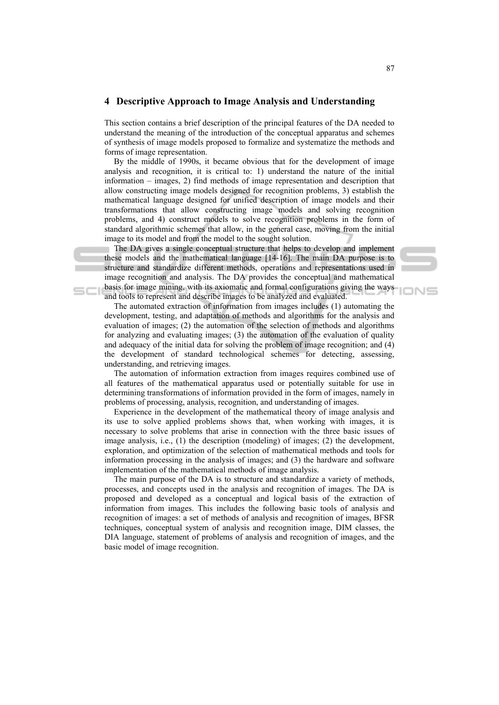### **4 Descriptive Approach to Image Analysis and Understanding**

This section contains a brief description of the principal features of the DA needed to understand the meaning of the introduction of the conceptual apparatus and schemes of synthesis of image models proposed to formalize and systematize the methods and forms of image representation.

By the middle of 1990s, it became obvious that for the development of image analysis and recognition, it is critical to: 1) understand the nature of the initial information – images, 2) find methods of image representation and description that allow constructing image models designed for recognition problems, 3) establish the mathematical language designed for unified description of image models and their transformations that allow constructing image models and solving recognition problems, and 4) construct models to solve recognition problems in the form of standard algorithmic schemes that allow, in the general case, moving from the initial image to its model and from the model to the sought solution.

The DA gives a single conceptual structure that helps to develop and implement these models and the mathematical language [14-16]. The main DA purpose is to structure and standardize different methods, operations and representations used in image recognition and analysis. The DA provides the conceptual and mathematical basis for image mining, with its axiomatic and formal configurations giving the ways and tools to represent and describe images to be analyzed and evaluated.

The automated extraction of information from images includes (1) automating the development, testing, and adaptation of methods and algorithms for the analysis and evaluation of images; (2) the automation of the selection of methods and algorithms for analyzing and evaluating images; (3) the automation of the evaluation of quality and adequacy of the initial data for solving the problem of image recognition; and (4) the development of standard technological schemes for detecting, assessing, understanding, and retrieving images.

The automation of information extraction from images requires combined use of all features of the mathematical apparatus used or potentially suitable for use in determining transformations of information provided in the form of images, namely in problems of processing, analysis, recognition, and understanding of images.

Experience in the development of the mathematical theory of image analysis and its use to solve applied problems shows that, when working with images, it is necessary to solve problems that arise in connection with the three basic issues of image analysis, i.e., (1) the description (modeling) of images; (2) the development, exploration, and optimization of the selection of mathematical methods and tools for information processing in the analysis of images; and (3) the hardware and software implementation of the mathematical methods of image analysis.

The main purpose of the DA is to structure and standardize a variety of methods, processes, and concepts used in the analysis and recognition of images. The DA is proposed and developed as a conceptual and logical basis of the extraction of information from images. This includes the following basic tools of analysis and recognition of images: a set of methods of analysis and recognition of images, BFSR techniques, conceptual system of analysis and recognition image, DIM classes, the DIA language, statement of problems of analysis and recognition of images, and the basic model of image recognition.

⊐N⊆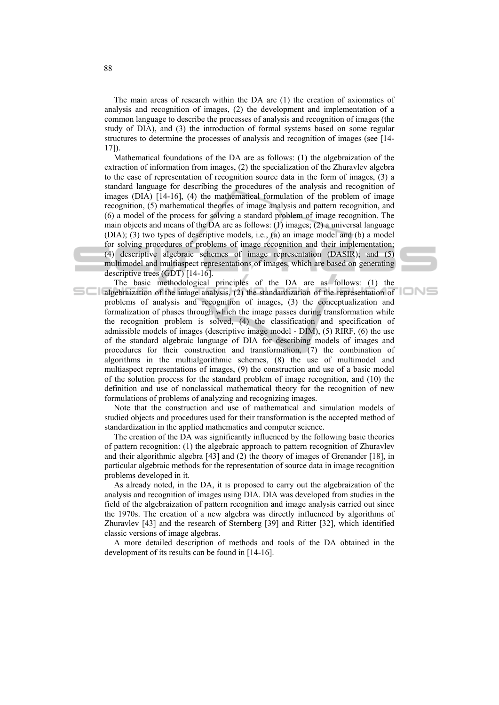The main areas of research within the DA are (1) the creation of axiomatics of analysis and recognition of images, (2) the development and implementation of a common language to describe the processes of analysis and recognition of images (the study of DIA), and (3) the introduction of formal systems based on some regular structures to determine the processes of analysis and recognition of images (see [14- 17]).

Mathematical foundations of the DA are as follows: (1) the algebraization of the extraction of information from images, (2) the specialization of the Zhuravlev algebra to the case of representation of recognition source data in the form of images, (3) a standard language for describing the procedures of the analysis and recognition of images (DIA) [14-16], (4) the mathematical formulation of the problem of image recognition, (5) mathematical theories of image analysis and pattern recognition, and (6) a model of the process for solving a standard problem of image recognition. The main objects and means of the DA are as follows: (1) images; (2) a universal language (DIA); (3) two types of descriptive models, i.e., (a) an image model and (b) a model for solving procedures of problems of image recognition and their implementation; (4) descriptive algebraic schemes of image representation (DASIR); and (5) multimodel and multiaspect representations of images, which are based on generating descriptive trees (GDT) [14-16].

The basic methodological principles of the DA are as follows: (1) the algebraization of the image analysis,  $(2)$  the standardization of the representation of problems of analysis and recognition of images, (3) the conceptualization and formalization of phases through which the image passes during transformation while the recognition problem is solved, (4) the classification and specification of admissible models of images (descriptive image model - DIM), (5) RIRF, (6) the use of the standard algebraic language of DIA for describing models of images and procedures for their construction and transformation, (7) the combination of algorithms in the multialgorithmic schemes, (8) the use of multimodel and multiaspect representations of images, (9) the construction and use of a basic model of the solution process for the standard problem of image recognition, and (10) the definition and use of nonclassical mathematical theory for the recognition of new formulations of problems of analyzing and recognizing images.

Note that the construction and use of mathematical and simulation models of studied objects and procedures used for their transformation is the accepted method of standardization in the applied mathematics and computer science.

The creation of the DA was significantly influenced by the following basic theories of pattern recognition: (1) the algebraic approach to pattern recognition of Zhuravlev and their algorithmic algebra [43] and (2) the theory of images of Grenander [18], in particular algebraic methods for the representation of source data in image recognition problems developed in it.

As already noted, in the DA, it is proposed to carry out the algebraization of the analysis and recognition of images using DIA. DIA was developed from studies in the field of the algebraization of pattern recognition and image analysis carried out since the 1970s. The creation of a new algebra was directly influenced by algorithms of Zhuravlev [43] and the research of Sternberg [39] and Ritter [32], which identified classic versions of image algebras.

A more detailed description of methods and tools of the DA obtained in the development of its results can be found in [14-16].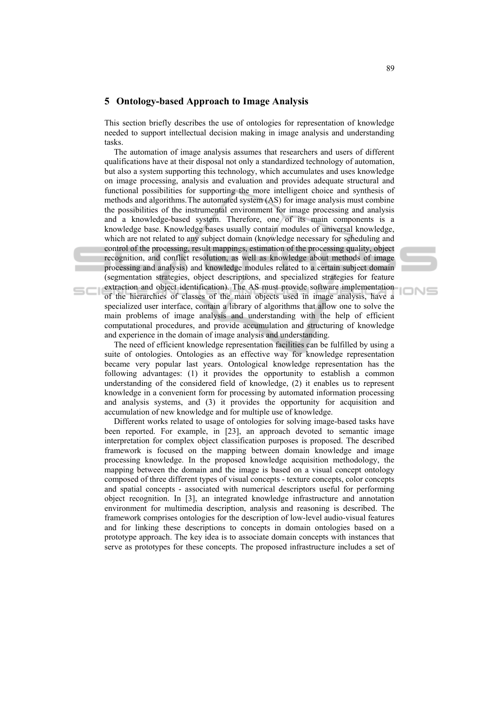## **5 Ontology-based Approach to Image Analysis**

This section briefly describes the use of ontologies for representation of knowledge needed to support intellectual decision making in image analysis and understanding tasks.

 The automation of image analysis assumes that researchers and users of different qualifications have at their disposal not only a standardized technology of automation, but also a system supporting this technology, which accumulates and uses knowledge on image processing, analysis and evaluation and provides adequate structural and functional possibilities for supporting the more intelligent choice and synthesis of methods and algorithms. The automated system (AS) for image analysis must combine the possibilities of the instrumental environment for image processing and analysis and a knowledge-based system. Therefore, one of its main components is a knowledge base. Knowledge bases usually contain modules of universal knowledge, which are not related to any subject domain (knowledge necessary for scheduling and control of the processing, result mappings, estimation of the processing quality, object recognition, and conflict resolution, as well as knowledge about methods of image processing and analysis) and knowledge modules related to a certain subject domain (segmentation strategies, object descriptions, and specialized strategies for feature extraction and object identification). The AS must provide software implementation of the hierarchies of classes of the main objects used in image analysis, have a specialized user interface, contain a library of algorithms that allow one to solve the main problems of image analysis and understanding with the help of efficient computational procedures, and provide accumulation and structuring of knowledge and experience in the domain of image analysis and understanding.

 The need of efficient knowledge representation facilities can be fulfilled by using a suite of ontologies. Ontologies as an effective way for knowledge representation became very popular last years. Ontological knowledge representation has the following advantages: (1) it provides the opportunity to establish a common understanding of the considered field of knowledge, (2) it enables us to represent knowledge in a convenient form for processing by automated information processing and analysis systems, and (3) it provides the opportunity for acquisition and accumulation of new knowledge and for multiple use of knowledge.

Different works related to usage of ontologies for solving image-based tasks have been reported. For example, in [23], an approach devoted to semantic image interpretation for complex object classification purposes is proposed. The described framework is focused on the mapping between domain knowledge and image processing knowledge. In the proposed knowledge acquisition methodology, the mapping between the domain and the image is based on a visual concept ontology composed of three different types of visual concepts - texture concepts, color concepts and spatial concepts - associated with numerical descriptors useful for performing object recognition. In [3], an integrated knowledge infrastructure and annotation environment for multimedia description, analysis and reasoning is described. The framework comprises ontologies for the description of low-level audio-visual features and for linking these descriptions to concepts in domain ontologies based on a prototype approach. The key idea is to associate domain concepts with instances that serve as prototypes for these concepts. The proposed infrastructure includes a set of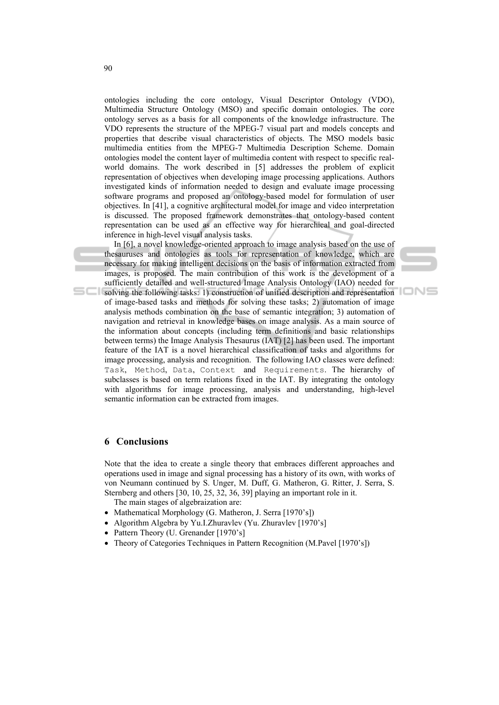ontologies including the core ontology, Visual Descriptor Ontology (VDO), Multimedia Structure Ontology (MSO) and specific domain ontologies. The core ontology serves as a basis for all components of the knowledge infrastructure. The VDO represents the structure of the MPEG-7 visual part and models concepts and properties that describe visual characteristics of objects. The MSO models basic multimedia entities from the MPEG-7 Multimedia Description Scheme. Domain ontologies model the content layer of multimedia content with respect to specific realworld domains. The work described in [5] addresses the problem of explicit representation of objectives when developing image processing applications. Authors investigated kinds of information needed to design and evaluate image processing software programs and proposed an ontology-based model for formulation of user objectives. In [41], a cognitive architectural model for image and video interpretation is discussed. The proposed framework demonstrates that ontology-based content representation can be used as an effective way for hierarchical and goal-directed inference in high-level visual analysis tasks.

In [6], a novel knowledge-oriented approach to image analysis based on the use of thesauruses and ontologies as tools for representation of knowledge, which are necessary for making intelligent decisions on the basis of information extracted from images, is proposed. The main contribution of this work is the development of a sufficiently detailed and well-structured Image Analysis Ontology (IAO) needed for solving the following tasks: 1) construction of unified description and representation of image-based tasks and methods for solving these tasks; 2) automation of image analysis methods combination on the base of semantic integration; 3) automation of navigation and retrieval in knowledge bases on image analysis. As a main source of the information about concepts (including term definitions and basic relationships between terms) the Image Analysis Thesaurus (IAT) [2] has been used. The important feature of the IAT is a novel hierarchical classification of tasks and algorithms for image processing, analysis and recognition. The following IAO classes were defined: Task, Method, Data, Context and Requirements. The hierarchy of subclasses is based on term relations fixed in the IAT. By integrating the ontology with algorithms for image processing, analysis and understanding, high-level semantic information can be extracted from images.

## **6 Conclusions**

Note that the idea to create a single theory that embraces different approaches and operations used in image and signal processing has a history of its own, with works of von Neumann continued by S. Unger, M. Duff, G. Matheron, G. Ritter, J. Serra, S. Sternberg and others [30, 10, 25, 32, 36, 39] playing an important role in it.

- The main stages of algebraization are:
- Mathematical Morphology (G. Matheron, J. Serra [1970's])
- Algorithm Algebra by Yu.I.Zhuravlev (Yu. Zhuravlev [1970's]
- Pattern Theory (U. Grenander [1970's]
- Theory of Categories Techniques in Pattern Recognition (M.Pavel [1970's])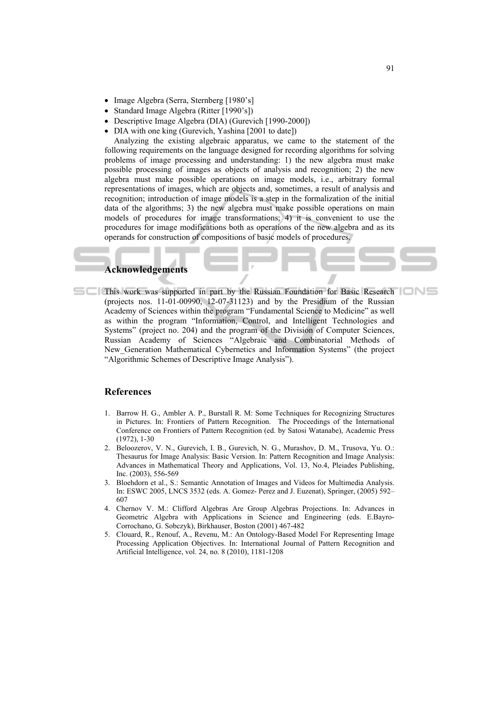- Image Algebra (Serra, Sternberg [1980's]
- Standard Image Algebra (Ritter [1990's])
- Descriptive Image Algebra (DIA) (Gurevich [1990-2000])
- DIA with one king (Gurevich, Yashina [2001 to date])

Analyzing the existing algebraic apparatus, we came to the statement of the following requirements on the language designed for recording algorithms for solving problems of image processing and understanding: 1) the new algebra must make possible processing of images as objects of analysis and recognition; 2) the new algebra must make possible operations on image models, i.e., arbitrary formal representations of images, which are objects and, sometimes, a result of analysis and recognition; introduction of image models is a step in the formalization of the initial data of the algorithms; 3) the new algebra must make possible operations on main models of procedures for image transformations; 4) it is convenient to use the procedures for image modifications both as operations of the new algebra and as its operands for construction of compositions of basic models of procedures.

# **Acknowledgements**

This work was supported in part by the Russian Foundation for Basic Research (projects nos. 11-01-00990, 12-07-31123) and by the Presidium of the Russian Academy of Sciences within the program "Fundamental Science to Medicine" as well as within the program "Information, Control, and Intelligent Technologies and Systems" (project no. 204) and the program of the Division of Computer Sciences, Russian Academy of Sciences "Algebraic and Combinatorial Methods of New\_Generation Mathematical Cybernetics and Information Systems" (the project "Algorithmic Schemes of Descriptive Image Analysis").

#### **References**

- 1. Barrow H. G., Ambler A. P., Burstall R. M: Some Techniques for Recognizing Structures in Pictures. In: Frontiers of Pattern Recognition. The Proceedings of the International Conference on Frontiers of Pattern Recognition (ed. by Satosi Watanabe), Academic Press (1972), 1-30
- 2. Beloozerov, V. N., Gurevich, I. B., Gurevich, N. G., Murashov, D. M., Trusova, Yu. O.: Thesaurus for Image Analysis: Basic Version. In: Pattern Recognition and Image Analysis: Advances in Mathematical Theory and Applications, Vol. 13, No.4, Pleiades Publishing, Inc. (2003), 556-569
- 3. Bloehdorn et al., S.: Semantic Annotation of Images and Videos for Multimedia Analysis. In: ESWC 2005, LNCS 3532 (eds. A. Gomez- Perez and J. Euzenat), Springer, (2005) 592– 607
- 4. Chernov V. M.: Clifford Algebras Are Group Algebras Projections. In: Advances in Geometric Algebra with Applications in Science and Engineering (eds. E.Bayro-Corrochano, G. Sobczyk), Birkhauser, Boston (2001) 467-482
- 5. Clouard, R., Renouf, A., Revenu, M.: An Ontology-Based Model For Representing Image Processing Application Objectives. In: International Journal of Pattern Recognition and Artificial Intelligence, vol. 24, no. 8 (2010), 1181-1208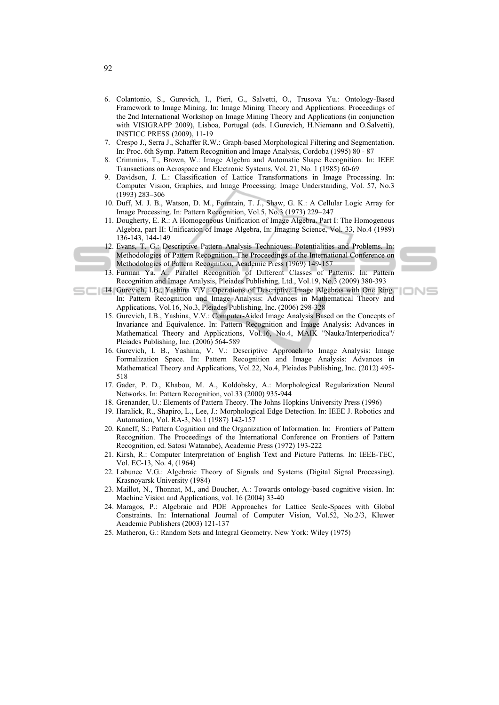- 6. Colantonio, S., Gurevich, I., Pieri, G., Salvetti, O., Trusova Yu.: Ontology-Based Framework to Image Mining. In: Image Mining Theory and Applications: Proceedings of the 2nd International Workshop on Image Mining Theory and Applications (in conjunction with VISIGRAPP 2009), Lisboa, Portugal (eds. I.Gurevich, H.Niemann and O.Salvetti), INSTICC PRESS (2009), 11-19
- 7. Crespo J., Serra J., Schaffer R.W.: Graph-based Morphological Filtering and Segmentation. In: Proc. 6th Symp. Pattern Recognition and Image Analysis, Cordoba (1995) 80 - 87
- 8. Crimmins, T., Brown, W.: Image Algebra and Automatic Shape Recognition. In: IEEE Transactions on Aerospace and Electronic Systems, Vol. 21, No. 1 (1985) 60-69
- 9. Davidson, J. L.: Classification of Lattice Transformations in Image Processing. In: Computer Vision, Graphics, and Image Processing: Image Understanding, Vol. 57, No.3 (1993) 283–306
- 10. Duff, M. J. B., Watson, D. M., Fountain, T. J., Shaw, G. K.: A Cellular Logic Array for Image Processing. In: Pattern Recognition, Vol.5, No.3 (1973) 229–247
- 11. Dougherty, E. R.: A Homogeneous Unification of Image Algebra. Part I: The Homogenous Algebra, part II: Unification of Image Algebra, In: Imaging Science, Vol. 33, No.4 (1989) 136-143, 144-149
- 12. Evans, T. G.: Descriptive Pattern Analysis Techniques: Potentialities and Problems. In: Methodologies of Pattern Recognition. The Proceedings of the International Conference on Methodologies of Pattern Recognition, Academic Press (1969) 149-157
	- 13. Furman Ya. A.: Parallel Recognition of Different Classes of Patterns. In: Pattern Recognition and Image Analysis, Pleiades Publishing, Ltd., Vol.19, No.3 (2009) 380-393

⊓N⊑

- 14. Gurevich, I.B., Yashina V.V.: Operations of Descriptive Image Algebras with One Ring. In: Pattern Recognition and Image Analysis: Advances in Mathematical Theory and Applications, Vol.16, No.3, Pleiades Publishing, Inc. (2006) 298-328
	- 15. Gurevich, I.B., Yashina, V.V.: Computer-Aided Image Analysis Based on the Concepts of Invariance and Equivalence. In: Pattern Recognition and Image Analysis: Advances in Mathematical Theory and Applications, Vol.16, No.4, MAIK "Nauka/Interperiodica"/ Pleiades Publishing, Inc. (2006) 564-589
	- 16. Gurevich, I. B., Yashina, V. V.: Descriptive Approach to Image Analysis: Image Formalization Space. In: Pattern Recognition and Image Analysis: Advances in Mathematical Theory and Applications, Vol.22, No.4, Pleiades Publishing, Inc. (2012) 495- 518
	- 17. Gader, P. D., Khabou, M. A., Koldobsky, A.: Morphological Regularization Neural Networks. In: Pattern Recognition, vol.33 (2000) 935-944
	- 18. Grenander, U.: Elements of Pattern Theory. The Johns Hopkins University Press (1996)
	- 19. Haralick, R., Shapiro, L., Lee, J.: Morphological Edge Detection. In: IEEE J. Robotics and Automation, Vol. RA-3, No.1 (1987) 142-157
	- 20. Kaneff, S.: Pattern Cognition and the Organization of Information. In: Frontiers of Pattern Recognition. The Proceedings of the International Conference on Frontiers of Pattern Recognition, ed. Satosi Watanabe), Academic Press (1972) 193-222
	- 21. Kirsh, R.: Computer Interpretation of English Text and Picture Patterns. In: IEEE-TEC, Vol. EC-13, No. 4, (1964)
	- 22. Labunec V.G.: Algebraic Theory of Signals and Systems (Digital Signal Processing). Krasnoyarsk University (1984)
	- 23. Maillot, N., Thonnat, M., and Boucher, A.: Towards ontology-based cognitive vision. In: Machine Vision and Applications, vol. 16 (2004) 33-40
	- 24. Maragos, P.: Algebraic and PDE Approaches for Lattice Scale-Spaces with Global Constraints. In: International Journal of Computer Vision, Vol.52, No.2/3, Kluwer Academic Publishers (2003) 121-137
	- 25. Matheron, G.: Random Sets and Integral Geometry. New York: Wiley (1975)